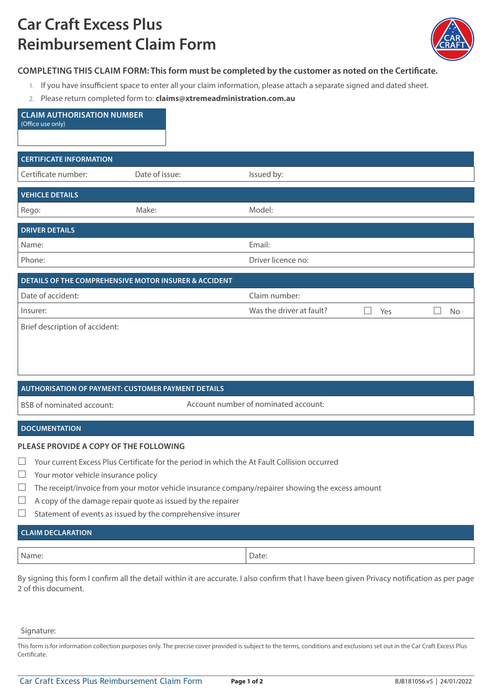# **Car Craft Excess Plus Reimbursement Claim Form**



# **COMPLETING THIS CLAIM FORM: This form must be completed by the customer as noted on the Certificate.**

- 1. If you have insufficient space to enter all your claim information, please attach a separate signed and dated sheet.
- 2. Please return completed form to: **claims@xtremeadministration.com.au**

| <b>CLAIM AUTHORISATION NUMBER</b><br>(Office use only)                                                                                                                                     |                                      |                          |                          |                         |
|--------------------------------------------------------------------------------------------------------------------------------------------------------------------------------------------|--------------------------------------|--------------------------|--------------------------|-------------------------|
| <b>CERTIFICATE INFORMATION</b>                                                                                                                                                             |                                      |                          |                          |                         |
| Certificate number:                                                                                                                                                                        | Date of issue:                       | Issued by:               |                          |                         |
| <b>VEHICLE DETAILS</b>                                                                                                                                                                     |                                      |                          |                          |                         |
| Rego:                                                                                                                                                                                      | Make:                                | Model:                   |                          |                         |
| <b>DRIVER DETAILS</b>                                                                                                                                                                      |                                      |                          |                          |                         |
| Name:                                                                                                                                                                                      |                                      | Email:                   |                          |                         |
| Phone:                                                                                                                                                                                     |                                      | Driver licence no:       |                          |                         |
| DETAILS OF THE COMPREHENSIVE MOTOR INSURER & ACCIDENT                                                                                                                                      |                                      |                          |                          |                         |
| Date of accident:                                                                                                                                                                          |                                      | Claim number:            |                          |                         |
| Insurer:                                                                                                                                                                                   |                                      | Was the driver at fault? | $\vert \ \ \vert$<br>Yes | $\vert \ \ \vert$<br>No |
| Brief description of accident:                                                                                                                                                             |                                      |                          |                          |                         |
|                                                                                                                                                                                            |                                      |                          |                          |                         |
|                                                                                                                                                                                            |                                      |                          |                          |                         |
|                                                                                                                                                                                            |                                      |                          |                          |                         |
| <b>AUTHORISATION OF PAYMENT: CUSTOMER PAYMENT DETAILS</b>                                                                                                                                  |                                      |                          |                          |                         |
| <b>BSB</b> of nominated account:                                                                                                                                                           | Account number of nominated account: |                          |                          |                         |
| <b>DOCUMENTATION</b>                                                                                                                                                                       |                                      |                          |                          |                         |
| PLEASE PROVIDE A COPY OF THE FOLLOWING<br>$\Box$<br>المتواطن والمستنقل والمتحاول والمتحاول والمتحارث والمتحار والمستحدث والمستنقص والمستنقص والمستنقص والمستنقص والمستنقص<br><b>A</b> 1979 |                                      |                          |                          |                         |

- $\Box$  Your current Excess Plus Certificate for the period in which the At Fault Collision occurred
- $\Box$  Your motor vehicle insurance policy
- $\Box$  The receipt/invoice from your motor vehicle insurance company/repairer showing the excess amount
- $\Box$  A copy of the damage repair quote as issued by the repairer
- $\Box$  Statement of events as issued by the comprehensive insurer

# **CLAIM DECLARATION**

| Name. | $   -$ |
|-------|--------|

By signing this form I confirm all the detail within it are accurate. I also confirm that I have been given Privacy notification as per page 2 of this document.

#### Signature:

This form is for information collection purposes only. The precise cover provided is subject to the terms, conditions and exclusions set out in the Car Craft Excess Plus Certificate.